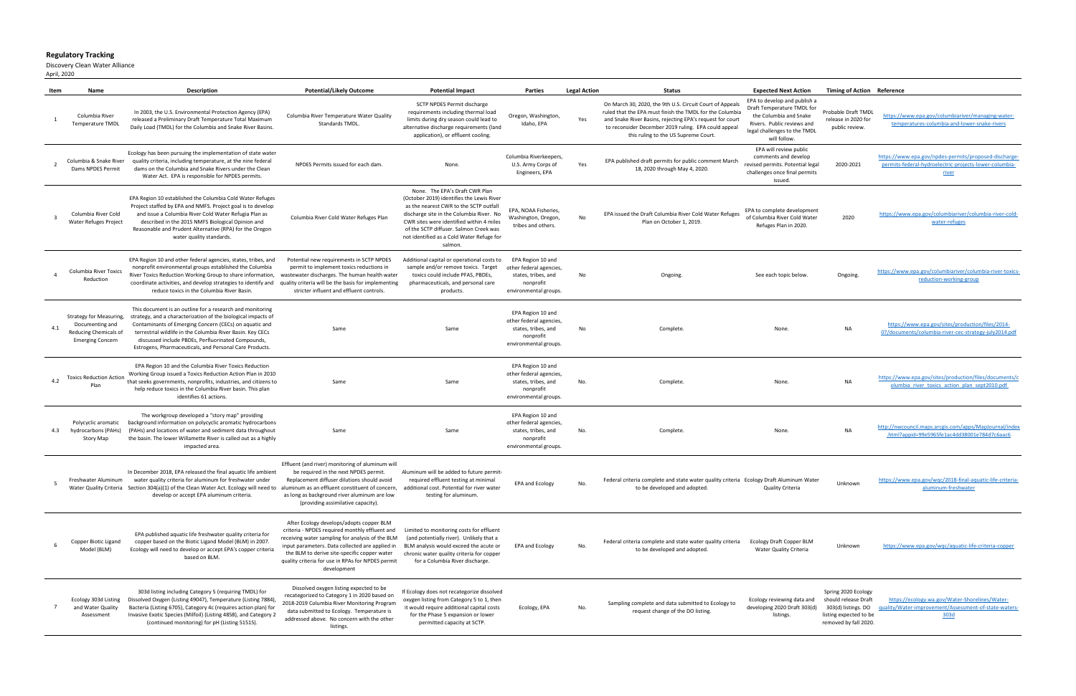## **Regulatory Tracking**

Discovery Clean Water Alliance

April, 2020

|     | Name                                                                                           | <b>Description</b>                                                                                                                                                                                                                                                                                                                                                  | <b>Potential/Likely Outcome</b>                                                                                                                                                                                                                                                                                       | <b>Potential Impact</b>                                                                                                                                                                                                                                                                                         | Parties                                                                                                   | <b>Legal Action</b> | <b>Status</b>                                                                                                                                                                                                                                                                    | <b>Expected Next Action</b>                                                                                                                                        | <b>Timing of Action Reference</b>                                                                                    |                                                                                                                                |
|-----|------------------------------------------------------------------------------------------------|---------------------------------------------------------------------------------------------------------------------------------------------------------------------------------------------------------------------------------------------------------------------------------------------------------------------------------------------------------------------|-----------------------------------------------------------------------------------------------------------------------------------------------------------------------------------------------------------------------------------------------------------------------------------------------------------------------|-----------------------------------------------------------------------------------------------------------------------------------------------------------------------------------------------------------------------------------------------------------------------------------------------------------------|-----------------------------------------------------------------------------------------------------------|---------------------|----------------------------------------------------------------------------------------------------------------------------------------------------------------------------------------------------------------------------------------------------------------------------------|--------------------------------------------------------------------------------------------------------------------------------------------------------------------|----------------------------------------------------------------------------------------------------------------------|--------------------------------------------------------------------------------------------------------------------------------|
|     | Columbia River<br>Temperature TMDL                                                             | In 2003, the U.S. Environmental Protection Agency (EPA)<br>released a Preliminary Draft Temperature Total Maximum<br>Daily Load (TMDL) for the Columbia and Snake River Basins.                                                                                                                                                                                     | Columbia River Temperature Water Quality<br>Standards TMDL                                                                                                                                                                                                                                                            | SCTP NPDES Permit discharge<br>requirements including thermal load<br>limits during dry season could lead to<br>alternative discharge requirements (land<br>application), or effluent cooling.                                                                                                                  | Oregon, Washington,<br>Idaho, EPA                                                                         | Yes                 | On March 30, 2020, the 9th U.S. Circuit Court of Appeal<br>ruled that the EPA must finish the TMDL for the Columbia<br>and Snake River Basins, rejecting EPA's request for court<br>to reconsider December 2019 ruling. EPA could appeal<br>this ruling to the US Supreme Court. | EPA to develop and publish a<br>Draft Temperature TMDL for<br>the Columbia and Snake<br>Rivers. Public reviews and<br>legal challenges to the TMDL<br>will follow. | Probable Draft TMDL<br>release in 2020 for<br>public review.                                                         | https://www.epa.gov/columbiariver/managing-water-<br>temperatures-columbia-and-lower-snake-rivers                              |
|     | Columbia & Snake River<br>Dams NPDES Permit                                                    | Ecology has been pursuing the implementation of state water<br>quality criteria, including temperature, at the nine federal<br>dams on the Columbia and Snake Rivers under the Clean<br>Water Act. EPA is responsible for NPDES permits.                                                                                                                            | NPDES Permits issued for each dam.                                                                                                                                                                                                                                                                                    | None.                                                                                                                                                                                                                                                                                                           | Columbia Riverkeepers<br>U.S. Army Corps of<br>Engineers, EPA                                             | Yes                 | EPA published draft permits for public comment March<br>18, 2020 through May 4, 2020.                                                                                                                                                                                            | EPA will review public<br>comments and develop<br>revised permits. Potential legal<br>challenges once final permits<br>issued.                                     | 2020-2021                                                                                                            | https://www.epa.gov/npdes-permits/proposed-discharge<br>permits-federal-hydroelectric-projects-lower-columbia-<br><u>river</u> |
|     | Columbia River Cold<br>Water Refuges Project                                                   | EPA Region 10 established the Columbia Cold Water Refuges<br>Project staffed by EPA and NMFS. Project goal is to develop<br>and issue a Columbia River Cold Water Refugia Plan as<br>described in the 2015 NMFS Biological Opinion and<br>Reasonable and Prudent Alternative (RPA) for the Oregon<br>water quality standards.                                       | Columbia River Cold Water Refuges Plan                                                                                                                                                                                                                                                                                | None. The EPA's Draft CWR Plan<br>(October 2019) identifies the Lewis River<br>as the nearest CWR to the SCTP outfall<br>discharge site in the Columbia River. No<br>CWR sites were identified within 4 miles<br>of the SCTP diffuser. Salmon Creek was<br>not identified as a Cold Water Refuge for<br>salmon. | EPA, NOAA Fisheries,<br>Washington, Oregon,<br>tribes and others.                                         | No                  | EPA issued the Draft Columbia River Cold Water Refuges<br>Plan on October 1, 2019.                                                                                                                                                                                               | EPA to complete development<br>of Columbia River Cold Water<br>Refuges Plan in 2020.                                                                               | 2020                                                                                                                 | https://www.epa.gov/columbiariver/columbia-river-cold-<br>water-refuges                                                        |
|     | Columbia River Toxics<br>Reduction                                                             | EPA Region 10 and other federal agencies, states, tribes, and<br>nonprofit environmental groups established the Columbia<br>River Toxics Reduction Working Group to share information,<br>coordinate activities, and develop strategies to identify and<br>reduce toxics in the Columbia River Basin.                                                               | Potential new requirements in SCTP NPDES<br>permit to implement toxics reductions in<br>wastewater discharges. The human health water<br>quality criteria will be the basis for implementing<br>stricter influent and effluent controls.                                                                              | Additional capital or operational costs to<br>sample and/or remove toxics. Target<br>toxics could include PFAS, PBDEs,<br>pharmaceuticals, and personal care<br>products.                                                                                                                                       | EPA Region 10 and<br>other federal agencies,<br>states, tribes, and<br>nonprofit<br>environmental groups. | No                  | Ongoing.                                                                                                                                                                                                                                                                         | See each topic below                                                                                                                                               | Ongoing.                                                                                                             | https://www.epa.gov/columbiariver/columbia-river-toxics<br>reduction-working-group                                             |
| 4.1 | Strategy for Measuring,<br>Documenting and<br>Reducing Chemicals of<br><b>Emerging Concern</b> | This document is an outline for a research and monitoring<br>strategy, and a characterization of the biological impacts of<br>Contaminants of Emerging Concern (CECs) on aquatic and<br>terrestrial wildlife in the Columbia River Basin. Key CECs<br>discussed include PBDEs, Perfluorinated Compounds,<br>Estrogens, Pharmaceuticals, and Personal Care Products. | Same                                                                                                                                                                                                                                                                                                                  | Same                                                                                                                                                                                                                                                                                                            | EPA Region 10 and<br>other federal agencies,<br>states, tribes, and<br>nonprofit<br>environmental groups. | No                  | Complete.                                                                                                                                                                                                                                                                        | None.                                                                                                                                                              | <b>NA</b>                                                                                                            | https://www.epa.gov/sites/production/files/2014-<br>07/documents/columbia-river-cec-strategy-july2014.pdf                      |
| 4.2 | <b>Toxics Reduction Action</b>                                                                 | EPA Region 10 and the Columbia River Toxics Reduction<br>Working Group issued a Toxics Reduction Action Plan in 2010<br>that seeks governments, nonprofits, industries, and citizens to<br>help reduce toxics in the Columbia River basin. This plan<br>identifies 61 actions.                                                                                      | Same                                                                                                                                                                                                                                                                                                                  | Same                                                                                                                                                                                                                                                                                                            | EPA Region 10 and<br>other federal agencies,<br>states, tribes, and<br>nonprofit<br>environmental groups. | No.                 | Complete.                                                                                                                                                                                                                                                                        | None.                                                                                                                                                              | <b>NA</b>                                                                                                            | https://www.epa.gov/sites/production/files/documents/<br>olumbia river toxics action plan sept2010.pdf                         |
|     | Polycyclic aromatic<br>hydrocarbons (PAHs)<br><b>Story Map</b>                                 | The workgroup developed a "story map" providing<br>background information on polycyclic aromatic hydrocarbons<br>(PAHs) and locations of water and sediment data throughout<br>the basin. The lower Willamette River is called out as a highly<br>impacted area.                                                                                                    | Same                                                                                                                                                                                                                                                                                                                  | Same                                                                                                                                                                                                                                                                                                            | EPA Region 10 and<br>other federal agencies,<br>states, tribes, and<br>nonprofit<br>environmental groups. | No.                 | Complete.                                                                                                                                                                                                                                                                        | None.                                                                                                                                                              | <b>NA</b>                                                                                                            | http://nwcouncil.maps.arcgis.com/apps/MapJournal/index<br>.html?appid=99e5965fe1ac4dd38001e784d7c6aac6                         |
|     | Freshwater Aluminum<br>Water Quality Criteria                                                  | In December 2018. EPA released the final aquatic life ambient<br>water quality criteria for aluminum for freshwater under<br>Section 304(a)(1) of the Clean Water Act. Ecology will need to<br>develop or accept EPA aluminum criteria.                                                                                                                             | Effluent (and river) monitoring of aluminum wil<br>be required in the next NPDES permit<br>Replacement diffuser dilutions should avoid<br>aluminum as an effluent constituent of concern<br>as long as background river aluminum are low<br>(providing assimilative capacity).                                        | Aluminum will be added to future permit<br>required effluent testing at minimal<br>additional cost. Potential for river water<br>testing for aluminum.                                                                                                                                                          | EPA and Ecology                                                                                           | No.                 | Federal criteria complete and state water quality criteria Ecology Draft Aluminum Water<br>to be developed and adopted.                                                                                                                                                          | Quality Criteria                                                                                                                                                   | Unknown                                                                                                              | https://www.epa.gov/wqc/2018-final-aquatic-life-criteria<br>aluminum-freshwater                                                |
|     | Copper Biotic Ligand<br>Model (BLM)                                                            | EPA published aquatic life freshwater quality criteria for<br>copper based on the Biotic Ligand Model (BLM) in 2007<br>Ecology will need to develop or accept EPA's copper criteria<br>based on BLM.                                                                                                                                                                | After Ecology develops/adopts copper BLM<br>criteria - NPDES required monthly effluent and<br>receiving water sampling for analysis of the BLM<br>input parameters. Data collected are applied in<br>the BLM to derive site-specific copper water<br>quality criteria for use in RPAs for NPDES permit<br>development | Limited to monitoring costs for effluent<br>(and potentially river). Unlikely that a<br>BLM analysis would exceed the acute or<br>chronic water quality criteria for copper<br>for a Columbia River discharge.                                                                                                  | EPA and Ecology                                                                                           | No.                 | Federal criteria complete and state water quality criteria<br>to be developed and adopted.                                                                                                                                                                                       | <b>Ecology Draft Copper BLM</b><br>Water Quality Criteria                                                                                                          | Unknown                                                                                                              | https://www.epa.gov/wgc/aquatic-life-criteria-copper                                                                           |
|     | Ecology 303d Listing<br>and Water Quality<br>Assessment                                        | 303d listing including Category 5 (requiring TMDL) for<br>Dissolved Oxygen (Listing 49047), Temperature (Listing 7884)<br>Bacteria (Listing 6705), Category 4c (requires action plan) for<br>Invasive Exotic Species (Milfoil) (Listing 4858), and Category 2<br>(continued monitoring) for pH (Listing 51515).                                                     | Dissolved oxygen listing expected to be<br>recategorized to Category 1 in 2020 based on<br>2018-2019 Columbia River Monitoring Program<br>data submitted to Ecology. Temperature is<br>addressed above. No concern with the other<br>listings.                                                                        | If Ecology does not recategorize dissolved<br>oxygen listing from Category 5 to 1, then<br>it would require additional capital costs<br>for the Phase 5 expansion or lower<br>permitted capacity at SCTP.                                                                                                       | Ecology, EPA                                                                                              | No.                 | Sampling complete and data submitted to Ecology to<br>request change of the DO listing.                                                                                                                                                                                          | Ecology reviewing data and<br>developing 2020 Draft 303(d)<br>listings.                                                                                            | Spring 2020 Ecology<br>should release Draft<br>303(d) listings. DO<br>listing expected to be<br>removed by fall 2020 | https://ecology.wa.gov/Water-Shorelines/Water-<br>ality/Water-improvement/Assessment-of-state-waters-<br>303d                  |